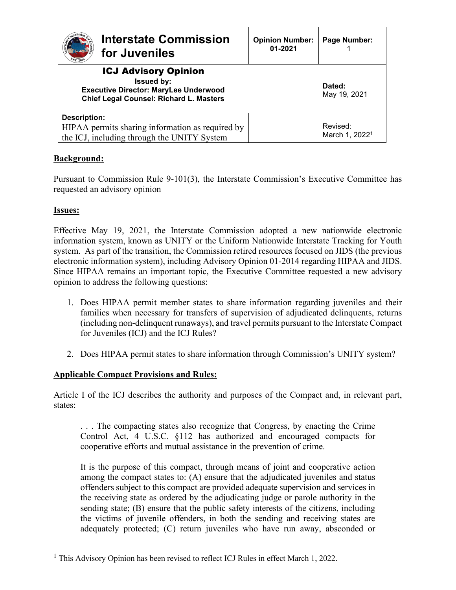| <b>Interstate Commission</b><br>for Juveniles                                                                                               | <b>Opinion Number:</b><br>01-2021 | Page Number:                           |
|---------------------------------------------------------------------------------------------------------------------------------------------|-----------------------------------|----------------------------------------|
| <b>ICJ Advisory Opinion</b><br><b>Issued by:</b><br><b>Executive Director: MaryLee Underwood</b><br>Chief Legal Counsel: Richard L. Masters |                                   | Dated:<br>May 19, 2021                 |
| <b>Description:</b><br>HIPAA permits sharing information as required by<br>the ICJ, including through the UNITY System                      |                                   | Revised:<br>March 1, 2022 <sup>1</sup> |

# **Background:**

Pursuant to Commission Rule 9-101(3), the Interstate Commission's Executive Committee has requested an advisory opinion

#### **Issues:**

Effective May 19, 2021, the Interstate Commission adopted a new nationwide electronic information system, known as UNITY or the Uniform Nationwide Interstate Tracking for Youth system. As part of the transition, the Commission retired resources focused on JIDS (the previous electronic information system), including Advisory Opinion 01-2014 regarding HIPAA and JIDS. Since HIPAA remains an important topic, the Executive Committee requested a new advisory opinion to address the following questions:

- 1. Does HIPAA permit member states to share information regarding juveniles and their families when necessary for transfers of supervision of adjudicated delinquents, returns (including non-delinquent runaways), and travel permits pursuant to the Interstate Compact for Juveniles (ICJ) and the ICJ Rules?
- 2. Does HIPAA permit states to share information through Commission's UNITY system?

## **Applicable Compact Provisions and Rules:**

Article I of the ICJ describes the authority and purposes of the Compact and, in relevant part, states:

. . . The compacting states also recognize that Congress, by enacting the Crime Control Act, 4 U.S.C. §112 has authorized and encouraged compacts for cooperative efforts and mutual assistance in the prevention of crime.

It is the purpose of this compact, through means of joint and cooperative action among the compact states to: (A) ensure that the adjudicated juveniles and status offenders subject to this compact are provided adequate supervision and services in the receiving state as ordered by the adjudicating judge or parole authority in the sending state; (B) ensure that the public safety interests of the citizens, including the victims of juvenile offenders, in both the sending and receiving states are adequately protected; (C) return juveniles who have run away, absconded or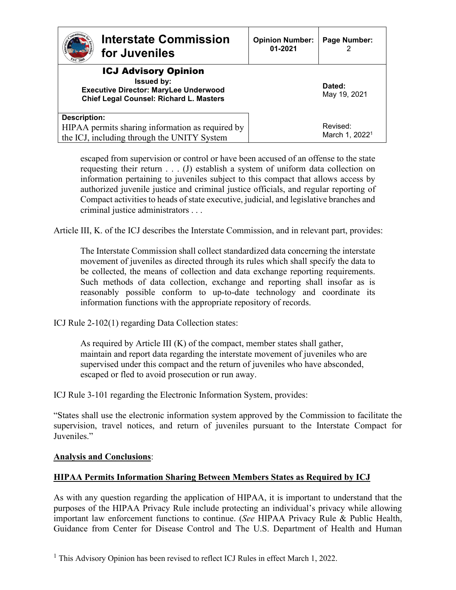| <b>Interstate Commission</b><br>for Juveniles                                                                                                      | <b>Opinion Number:</b><br>01-2021 | Page Number:                           |
|----------------------------------------------------------------------------------------------------------------------------------------------------|-----------------------------------|----------------------------------------|
| <b>ICJ Advisory Opinion</b><br><b>Issued by:</b><br><b>Executive Director: MaryLee Underwood</b><br><b>Chief Legal Counsel: Richard L. Masters</b> |                                   | Dated:<br>May 19, 2021                 |
| <b>Description:</b><br>HIPAA permits sharing information as required by<br>the ICJ, including through the UNITY System                             |                                   | Revised:<br>March 1, 2022 <sup>1</sup> |

escaped from supervision or control or have been accused of an offense to the state requesting their return . . . (J) establish a system of uniform data collection on information pertaining to juveniles subject to this compact that allows access by authorized juvenile justice and criminal justice officials, and regular reporting of Compact activities to heads of state executive, judicial, and legislative branches and criminal justice administrators . . .

Article III, K. of the ICJ describes the Interstate Commission, and in relevant part, provides:

The Interstate Commission shall collect standardized data concerning the interstate movement of juveniles as directed through its rules which shall specify the data to be collected, the means of collection and data exchange reporting requirements. Such methods of data collection, exchange and reporting shall insofar as is reasonably possible conform to up-to-date technology and coordinate its information functions with the appropriate repository of records.

ICJ Rule 2-102(1) regarding Data Collection states:

As required by Article III (K) of the compact, member states shall gather, maintain and report data regarding the interstate movement of juveniles who are supervised under this compact and the return of juveniles who have absconded, escaped or fled to avoid prosecution or run away.

ICJ Rule 3-101 regarding the Electronic Information System, provides:

"States shall use the electronic information system approved by the Commission to facilitate the supervision, travel notices, and return of juveniles pursuant to the Interstate Compact for Juveniles."

#### **Analysis and Conclusions**:

# **HIPAA Permits Information Sharing Between Members States as Required by ICJ**

As with any question regarding the application of HIPAA, it is important to understand that the purposes of the HIPAA Privacy Rule include protecting an individual's privacy while allowing important law enforcement functions to continue. (*See* HIPAA Privacy Rule & Public Health, Guidance from Center for Disease Control and The U.S. Department of Health and Human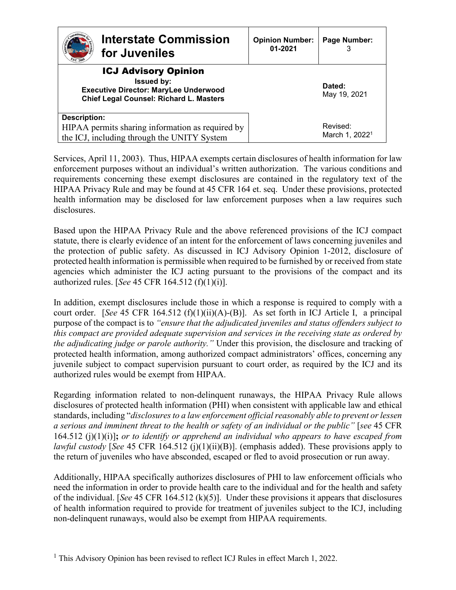| <b>Interstate Commission</b><br>for Juveniles                                                                                                      | <b>Opinion Number:</b><br>01-2021 | Page Number:                           |
|----------------------------------------------------------------------------------------------------------------------------------------------------|-----------------------------------|----------------------------------------|
| <b>ICJ Advisory Opinion</b><br><b>Issued by:</b><br><b>Executive Director: MaryLee Underwood</b><br><b>Chief Legal Counsel: Richard L. Masters</b> |                                   | Dated:<br>May 19, 2021                 |
| <b>Description:</b><br>HIPAA permits sharing information as required by<br>the ICJ, including through the UNITY System                             |                                   | Revised:<br>March 1, 2022 <sup>1</sup> |

Services, April 11, 2003). Thus, HIPAA exempts certain disclosures of health information for law enforcement purposes without an individual's written authorization. The various conditions and requirements concerning these exempt disclosures are contained in the regulatory text of the HIPAA Privacy Rule and may be found at 45 CFR 164 et. seq. Under these provisions, protected health information may be disclosed for law enforcement purposes when a law requires such disclosures.

Based upon the HIPAA Privacy Rule and the above referenced provisions of the ICJ compact statute, there is clearly evidence of an intent for the enforcement of laws concerning juveniles and the protection of public safety. As discussed in ICJ Advisory Opinion 1-2012, disclosure of protected health information is permissible when required to be furnished by or received from state agencies which administer the ICJ acting pursuant to the provisions of the compact and its authorized rules. [*See* 45 CFR 164.512 (f)(1)(i)].

In addition, exempt disclosures include those in which a response is required to comply with a court order. [*See* 45 CFR 164.512 (f)(1)(ii)(A)-(B)]. As set forth in ICJ Article I, a principal purpose of the compact is to *"ensure that the adjudicated juveniles and status offenders subject to this compact are provided adequate supervision and services in the receiving state as ordered by the adjudicating judge or parole authority."* Under this provision, the disclosure and tracking of protected health information, among authorized compact administrators' offices, concerning any juvenile subject to compact supervision pursuant to court order, as required by the ICJ and its authorized rules would be exempt from HIPAA.

Regarding information related to non-delinquent runaways, the HIPAA Privacy Rule allows disclosures of protected health information (PHI) when consistent with applicable law and ethical standards, including "*disclosures to a law enforcement official reasonably able to prevent or lessen a serious and imminent threat to the health or safety of an individual or the public"* [*see* 45 CFR 164.512 (j)(1)(i)]**;** *or to identify or apprehend an individual who appears to have escaped from lawful custody* [*See* 45 CFR 164.512 (j)(1)(ii)(B)]. (emphasis added). These provisions apply to the return of juveniles who have absconded, escaped or fled to avoid prosecution or run away.

Additionally, HIPAA specifically authorizes disclosures of PHI to law enforcement officials who need the information in order to provide health care to the individual and for the health and safety of the individual. [*See* 45 CFR 164.512 (k)(5)]. Under these provisions it appears that disclosures of health information required to provide for treatment of juveniles subject to the ICJ, including non-delinquent runaways, would also be exempt from HIPAA requirements.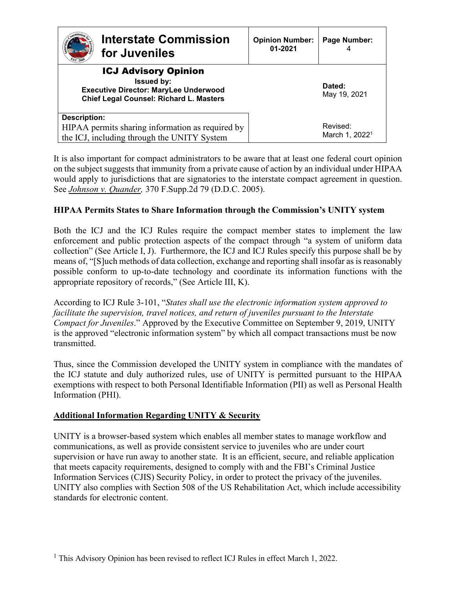| <b>Interstate Commission</b><br>for Juveniles                                                                                                      | <b>Opinion Number:</b><br>01-2021 | Page Number:                           |
|----------------------------------------------------------------------------------------------------------------------------------------------------|-----------------------------------|----------------------------------------|
| <b>ICJ Advisory Opinion</b><br><b>Issued by:</b><br><b>Executive Director: MaryLee Underwood</b><br><b>Chief Legal Counsel: Richard L. Masters</b> |                                   | Dated:<br>May 19, 2021                 |
| <b>Description:</b><br>HIPAA permits sharing information as required by<br>the ICJ, including through the UNITY System                             |                                   | Revised:<br>March 1, 2022 <sup>1</sup> |

It is also important for compact administrators to be aware that at least one federal court opinion on the subject suggests that immunity from a private cause of action by an individual under HIPAA would apply to jurisdictions that are signatories to the interstate compact agreement in question. See *Johnson v. Quander,* 370 F.Supp.2d 79 (D.D.C. 2005).

# **HIPAA Permits States to Share Information through the Commission's UNITY system**

Both the ICJ and the ICJ Rules require the compact member states to implement the law enforcement and public protection aspects of the compact through "a system of uniform data collection" (See Article I, J). Furthermore, the ICJ and ICJ Rules specify this purpose shall be by means of, "[S]uch methods of data collection, exchange and reporting shall insofar as is reasonably possible conform to up-to-date technology and coordinate its information functions with the appropriate repository of records," (See Article III, K).

According to ICJ Rule 3-101, "*States shall use the electronic information system approved to facilitate the supervision, travel notices, and return of juveniles pursuant to the Interstate Compact for Juveniles*." Approved by the Executive Committee on September 9, 2019, UNITY is the approved "electronic information system" by which all compact transactions must be now transmitted.

Thus, since the Commission developed the UNITY system in compliance with the mandates of the ICJ statute and duly authorized rules, use of UNITY is permitted pursuant to the HIPAA exemptions with respect to both Personal Identifiable Information (PII) as well as Personal Health Information (PHI).

## **Additional Information Regarding UNITY & Security**

UNITY is a browser-based system which enables all member states to manage workflow and communications, as well as provide consistent service to juveniles who are under court supervision or have run away to another state. It is an efficient, secure, and reliable application that meets capacity requirements, designed to comply with and the FBI's Criminal Justice Information Services (CJIS) Security Policy, in order to protect the privacy of the juveniles. UNITY also complies with Section 508 of the US Rehabilitation Act, which include accessibility standards for electronic content.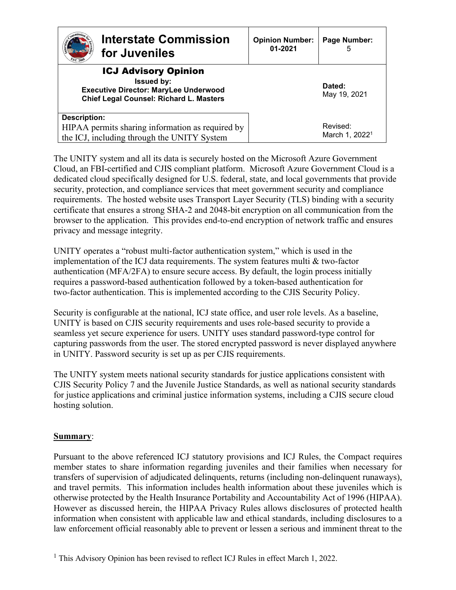| <b>Interstate Commission</b><br>for Juveniles                                                                                                      | <b>Opinion Number:</b><br>01-2021 | Page Number:<br>5                      |
|----------------------------------------------------------------------------------------------------------------------------------------------------|-----------------------------------|----------------------------------------|
| <b>ICJ Advisory Opinion</b><br><b>Issued by:</b><br><b>Executive Director: MaryLee Underwood</b><br><b>Chief Legal Counsel: Richard L. Masters</b> |                                   | Dated:<br>May 19, 2021                 |
| <b>Description:</b><br>HIPAA permits sharing information as required by<br>the ICJ, including through the UNITY System                             |                                   | Revised:<br>March 1, 2022 <sup>1</sup> |

The UNITY system and all its data is securely hosted on the Microsoft Azure Government Cloud, an FBI-certified and CJIS compliant platform. Microsoft Azure Government Cloud is a dedicated cloud specifically designed for U.S. federal, state, and local governments that provide security, protection, and compliance services that meet government security and compliance requirements. The hosted website uses Transport Layer Security (TLS) binding with a security certificate that ensures a strong SHA-2 and 2048-bit encryption on all communication from the browser to the application. This provides end-to-end encryption of network traffic and ensures privacy and message integrity.

UNITY operates a "robust multi-factor authentication system," which is used in the implementation of the ICJ data requirements. The system features multi & two-factor authentication (MFA/2FA) to ensure secure access. By default, the login process initially requires a password-based authentication followed by a token-based authentication for two-factor authentication. This is implemented according to the CJIS Security Policy.

Security is configurable at the national, ICJ state office, and user role levels. As a baseline, UNITY is based on CJIS security requirements and uses role-based security to provide a seamless yet secure experience for users. UNITY uses standard password-type control for capturing passwords from the user. The stored encrypted password is never displayed anywhere in UNITY. Password security is set up as per CJIS requirements.

The UNITY system meets national security standards for justice applications consistent with CJIS Security Policy 7 and the Juvenile Justice Standards, as well as national security standards for justice applications and criminal justice information systems, including a CJIS secure cloud hosting solution.

## **Summary**:

Pursuant to the above referenced ICJ statutory provisions and ICJ Rules, the Compact requires member states to share information regarding juveniles and their families when necessary for transfers of supervision of adjudicated delinquents, returns (including non-delinquent runaways), and travel permits. This information includes health information about these juveniles which is otherwise protected by the Health Insurance Portability and Accountability Act of 1996 (HIPAA). However as discussed herein, the HIPAA Privacy Rules allows disclosures of protected health information when consistent with applicable law and ethical standards, including disclosures to a law enforcement official reasonably able to prevent or lessen a serious and imminent threat to the